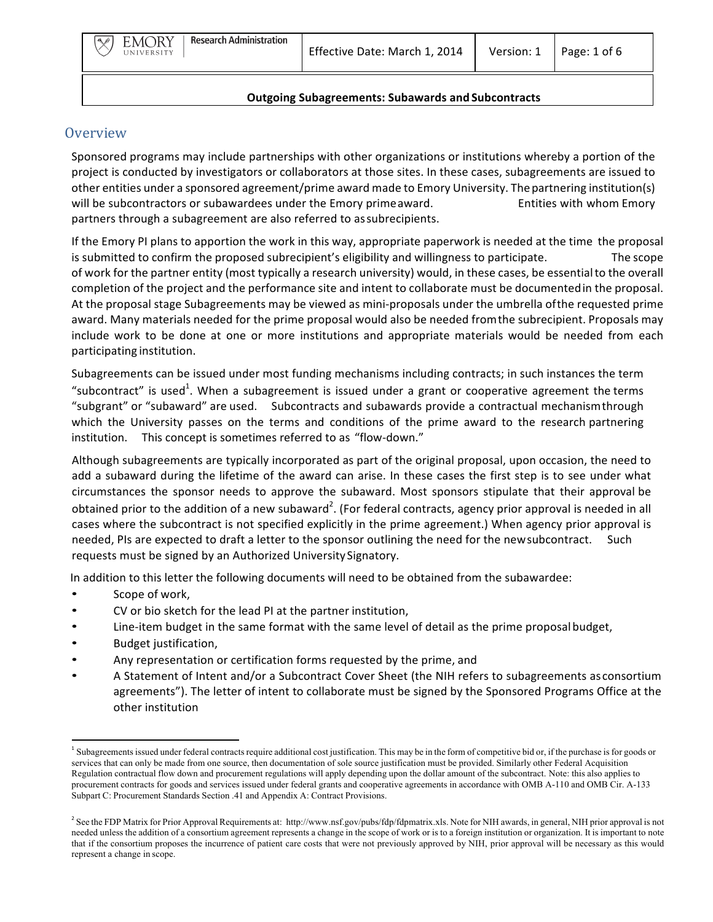## **Overview**

Sponsored programs may include partnerships with other organizations or institutions whereby a portion of the project is conducted by investigators or collaborators at those sites. In these cases, subagreements are issued to other entities under a sponsored agreement/prime award made to Emory University. The partnering institution(s) will be subcontractors or subawardees under the Emory primeaward. The substitution Emory contractors or subawardees under the Emory primeaward. partners through a subagreement are also referred to assubrecipients.

If the Emory PI plans to apportion the work in this way, appropriate paperwork is needed at the time the proposal is submitted to confirm the proposed subrecipient's eligibility and willingness to participate. The scope of work for the partner entity (most typically a research university) would, in these cases, be essential to the overall completion of the project and the performance site and intent to collaborate must be documented in the proposal. At the proposal stage Subagreements may be viewed as mini-proposals under the umbrella of the requested prime award. Many materials needed for the prime proposal would also be needed from the subrecipient. Proposals may include work to be done at one or more institutions and appropriate materials would be needed from each participating institution.

Subagreements can be issued under most funding mechanisms including contracts; in such instances the term "subcontract" is used<sup>1</sup>. When a subagreement is issued under a grant or cooperative agreement the terms "subgrant" or "subaward" are used. Subcontracts and subawards provide a contractual mechanismthrough which the University passes on the terms and conditions of the prime award to the research partnering institution. This concept is sometimes referred to as "flow-down."

Although subagreements are typically incorporated as part of the original proposal, upon occasion, the need to add a subaward during the lifetime of the award can arise. In these cases the first step is to see under what circumstances the sponsor needs to approve the subaward. Most sponsors stipulate that their approval be obtained prior to the addition of a new subaward<sup>2</sup>. (For federal contracts, agency prior approval is needed in all cases where the subcontract is not specified explicitly in the prime agreement.) When agency prior approval is needed, PIs are expected to draft a letter to the sponsor outlining the need for the newsubcontract. Such requests must be signed by an Authorized University Signatory.

In addition to this letter the following documents will need to be obtained from the subawardee:

- Scope of work,
- CV or bio sketch for the lead PI at the partner institution,
- Line-item budget in the same format with the same level of detail as the prime proposal budget,
- Budget justification,
- Any representation or certification forms requested by the prime, and
- A Statement of Intent and/or a Subcontract Cover Sheet (the NIH refers to subagreements asconsortium agreements"). The letter of intent to collaborate must be signed by the Sponsored Programs Office at the other institution

<sup>&</sup>lt;sup>1</sup> Subagreements issued under federal contracts require additional cost justification. This may be in the form of competitive bid or, if the purchase is for goods or services that can only be made from one source, then documentation of sole source justification must be provided. Similarly other Federal Acquisition Regulation contractual flow down and procurement regulations will apply depending upon the dollar amount of the subcontract. Note: this also applies to procurement contracts for goods and services issued under federal grants and cooperative agreements in accordance with OMB A-110 and OMB Cir. A-133 Subpart C: Procurement Standards Section .41 and Appendix A: Contract Provisions.

<sup>&</sup>lt;sup>2</sup> See the FDP Matrix for Prior Approval Requirements at: http://www.nsf.gov/pubs/fdp/fdpmatrix.xls. Note for NIH awards, in general, NIH prior approval is not needed unless the addition of a consortium agreement represents a change in the scope of work or is to a foreign institution or organization. It is important to note that if the consortium proposes the incurrence of patient care costs that were not previously approved by NIH, prior approval will be necessary as this would represent a change in scope.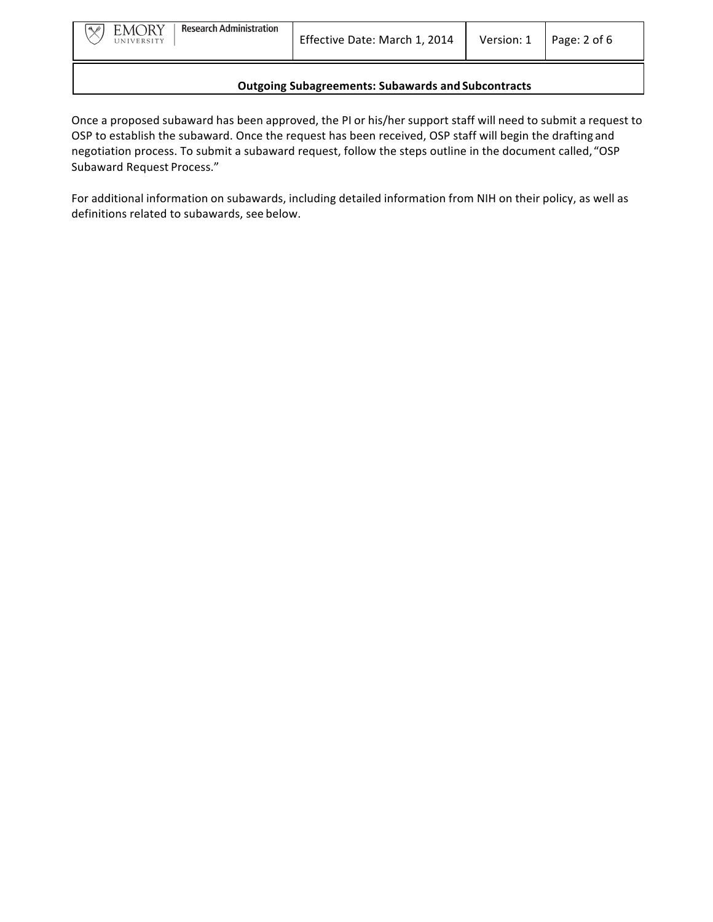Once a proposed subaward has been approved, the PI or his/her support staff will need to submit a request to OSP to establish the subaward. Once the request has been received, OSP staff will begin the drafting and negotiation process. To submit a subaward request, follow the steps outline in the document called, "OSP Subaward Request Process."

For additional information on subawards, including detailed information from NIH on their policy, as well as definitions related to subawards, see below.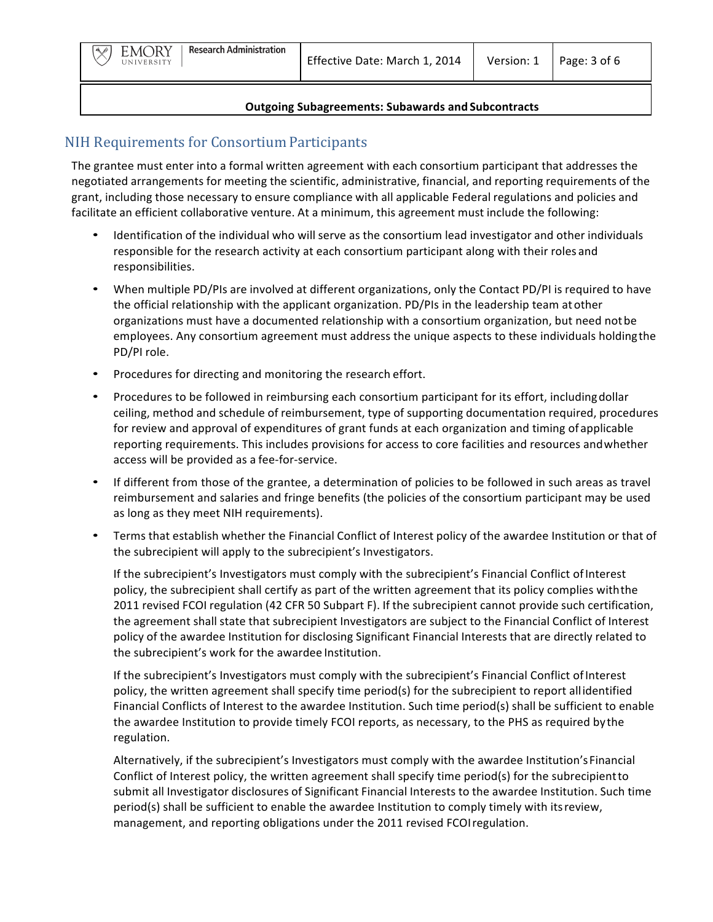## NIH Requirements for Consortium Participants

The grantee must enter into a formal written agreement with each consortium participant that addresses the negotiated arrangements for meeting the scientific, administrative, financial, and reporting requirements of the grant, including those necessary to ensure compliance with all applicable Federal regulations and policies and facilitate an efficient collaborative venture. At a minimum, this agreement must include the following:

- Identification of the individual who will serve as the consortium lead investigator and other individuals responsible for the research activity at each consortium participant along with their roles and responsibilities.
- When multiple PD/PIs are involved at different organizations, only the Contact PD/PI is required to have the official relationship with the applicant organization. PD/PIs in the leadership team at other organizations must have a documented relationship with a consortium organization, but need not be employees. Any consortium agreement must address the unique aspects to these individuals holding the PD/PI role.
- Procedures for directing and monitoring the research effort.
- Procedures to be followed in reimbursing each consortium participant for its effort, including dollar ceiling, method and schedule of reimbursement, type of supporting documentation required, procedures for review and approval of expenditures of grant funds at each organization and timing of applicable reporting requirements. This includes provisions for access to core facilities and resources and whether access will be provided as a fee-for-service.
- If different from those of the grantee, a determination of policies to be followed in such areas as travel reimbursement and salaries and fringe benefits (the policies of the consortium participant may be used as long as they meet NIH requirements).
- Terms that establish whether the Financial Conflict of Interest policy of the awardee Institution or that of the subrecipient will apply to the subrecipient's Investigators.

If the subrecipient's Investigators must comply with the subrecipient's Financial Conflict of Interest policy, the subrecipient shall certify as part of the written agreement that its policy complies with the 2011 revised FCOI regulation (42 CFR 50 Subpart F). If the subrecipient cannot provide such certification, the agreement shall state that subrecipient Investigators are subject to the Financial Conflict of Interest policy of the awardee Institution for disclosing Significant Financial Interests that are directly related to the subrecipient's work for the awardee Institution.

If the subrecipient's Investigators must comply with the subrecipient's Financial Conflict of Interest policy, the written agreement shall specify time period(s) for the subrecipient to report allidentified Financial Conflicts of Interest to the awardee Institution. Such time period(s) shall be sufficient to enable the awardee Institution to provide timely FCOI reports, as necessary, to the PHS as required by the regulation.

Alternatively, if the subrecipient's Investigators must comply with the awardee Institution's Financial Conflict of Interest policy, the written agreement shall specify time period(s) for the subrecipient to submit all Investigator disclosures of Significant Financial Interests to the awardee Institution. Such time period(s) shall be sufficient to enable the awardee Institution to comply timely with its review, management, and reporting obligations under the 2011 revised FCOI regulation.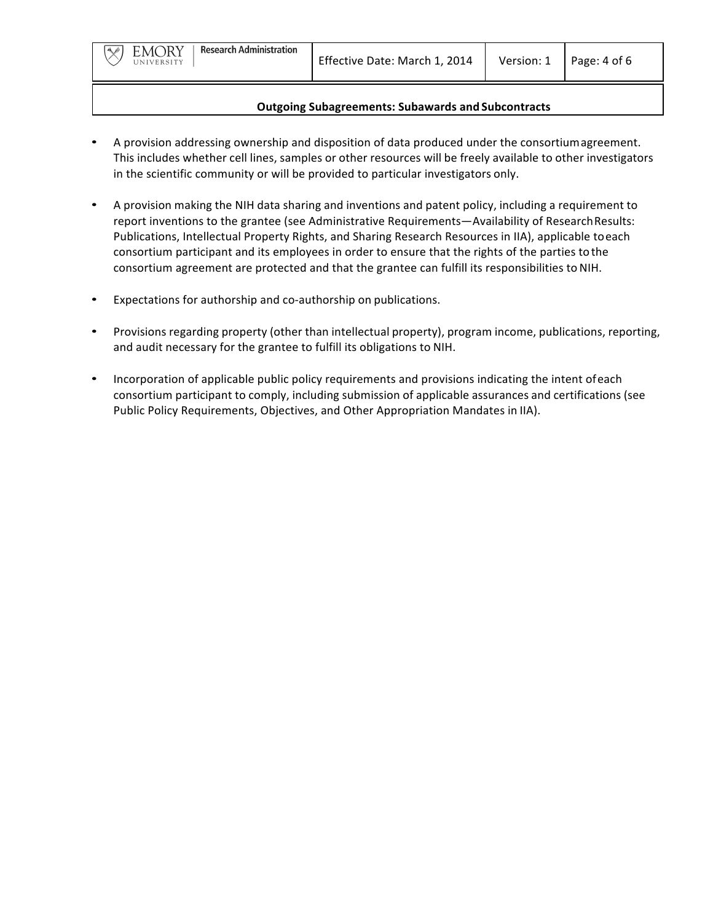- A provision addressing ownership and disposition of data produced under the consortium agreement. This includes whether cell lines, samples or other resources will be freely available to other investigators in the scientific community or will be provided to particular investigators only.
- A provision making the NIH data sharing and inventions and patent policy, including a requirement to report inventions to the grantee (see Administrative Requirements—Availability of Research Results: Publications, Intellectual Property Rights, and Sharing Research Resources in IIA), applicable toeach consortium participant and its employees in order to ensure that the rights of the parties to the consortium agreement are protected and that the grantee can fulfill its responsibilities to NIH.
- Expectations for authorship and co-authorship on publications.
- Provisions regarding property (other than intellectual property), program income, publications, reporting, and audit necessary for the grantee to fulfill its obligations to NIH.
- Incorporation of applicable public policy requirements and provisions indicating the intent ofeach consortium participant to comply, including submission of applicable assurances and certifications (see Public Policy Requirements, Objectives, and Other Appropriation Mandates in IIA).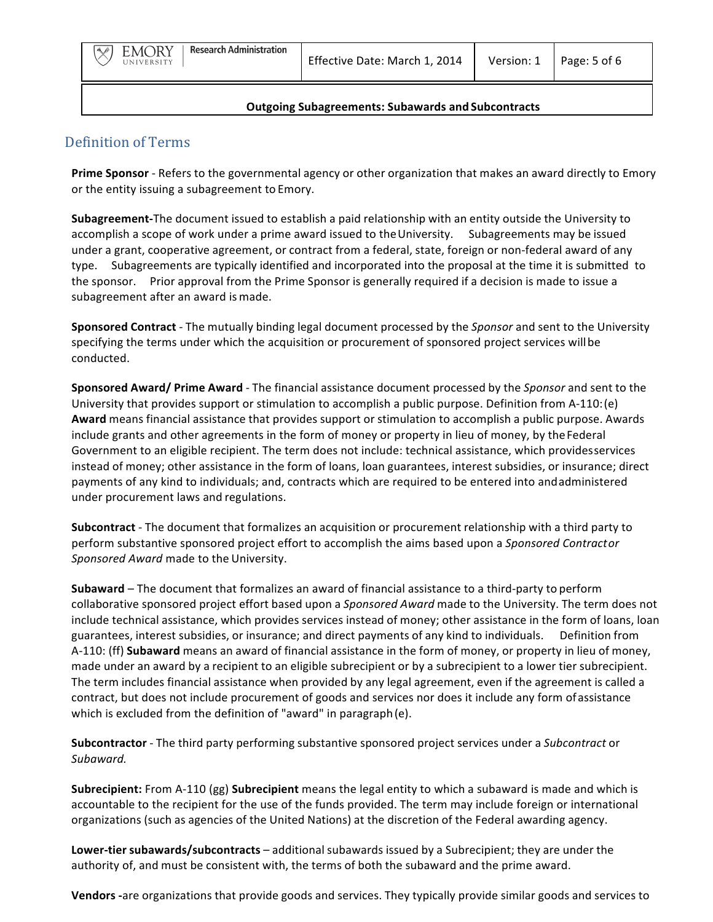## Definition of Terms

**Prime Sponsor** - Refers to the governmental agency or other organization that makes an award directly to Emory or the entity issuing a subagreement to Emory.

**Subagreement-**The document issued to establish a paid relationship with an entity outside the University to accomplish a scope of work under a prime award issued to the University. Subagreements may be issued under a grant, cooperative agreement, or contract from a federal, state, foreign or non-federal award of any type. Subagreements are typically identified and incorporated into the proposal at the time it is submitted to the sponsor. Prior approval from the Prime Sponsor is generally required if a decision is made to issue a subagreement after an award is made.

**Sponsored Contract** - The mutually binding legal document processed by the *Sponsor* and sent to the University specifying the terms under which the acquisition or procurement of sponsored project services will be conducted.

**Sponsored Award/ Prime Award** - The financial assistance document processed by the *Sponsor* and sent to the University that provides support or stimulation to accomplish a public purpose. Definition from A-110: (e) **Award** means financial assistance that provides support or stimulation to accomplish a public purpose. Awards include grants and other agreements in the form of money or property in lieu of money, by the Federal Government to an eligible recipient. The term does not include: technical assistance, which providesservices instead of money; other assistance in the form of loans, loan guarantees, interest subsidies, or insurance; direct payments of any kind to individuals; and, contracts which are required to be entered into andadministered under procurement laws and regulations.

**Subcontract** - The document that formalizes an acquisition or procurement relationship with a third party to perform substantive sponsored project effort to accomplish the aims based upon a Sponsored Contractor Sponsored Award made to the University.

**Subaward** – The document that formalizes an award of financial assistance to a third-party to perform collaborative sponsored project effort based upon a *Sponsored Award* made to the University. The term does not include technical assistance, which provides services instead of money; other assistance in the form of loans, loan guarantees, interest subsidies, or insurance; and direct payments of any kind to individuals. Definition from A-110: (ff) **Subaward** means an award of financial assistance in the form of money, or property in lieu of money, made under an award by a recipient to an eligible subrecipient or by a subrecipient to a lower tier subrecipient. The term includes financial assistance when provided by any legal agreement, even if the agreement is called a contract, but does not include procurement of goods and services nor does it include any form of assistance which is excluded from the definition of "award" in paragraph(e).

**Subcontractor** - The third party performing substantive sponsored project services under a *Subcontract* or *Subaward.*

**Subrecipient:** From A-110 (gg) **Subrecipient** means the legal entity to which a subaward is made and which is accountable to the recipient for the use of the funds provided. The term may include foreign or international organizations (such as agencies of the United Nations) at the discretion of the Federal awarding agency.

**Lower-tier subawards/subcontracts** – additional subawards issued by a Subrecipient; they are under the authority of, and must be consistent with, the terms of both the subaward and the prime award.

**Vendors -**are organizations that provide goods and services. They typically provide similar goods and services to